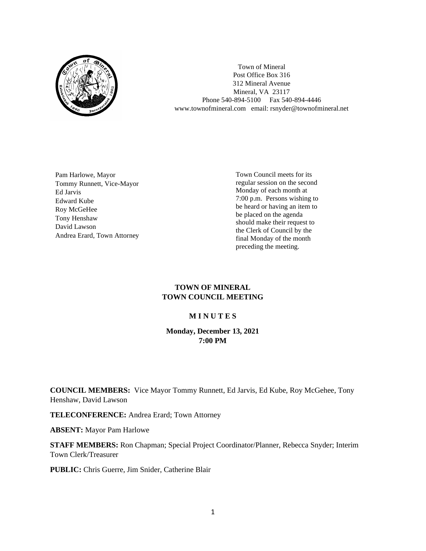

Town of Mineral Post Office Box 316 312 Mineral Avenue Mineral, VA 23117 Phone 540-894-5100 Fax 540-894-4446 www.townofmineral.com email: rsnyder@townofmineral.net

Pam Harlowe, Mayor Tommy Runnett, Vice-Mayor Ed Jarvis Edward Kube Roy McGeHee Tony Henshaw David Lawson Andrea Erard, Town Attorney Town Council meets for its regular session on the second Monday of each month at 7:00 p.m. Persons wishing to be heard or having an item to be placed on the agenda should make their request to the Clerk of Council by the final Monday of the month preceding the meeting.

## **TOWN OF MINERAL TOWN COUNCIL MEETING**

## **M I N U T E S**

## **Monday, December 13, 2021 7:00 PM**

**COUNCIL MEMBERS:** Vice Mayor Tommy Runnett, Ed Jarvis, Ed Kube, Roy McGehee, Tony Henshaw, David Lawson

**TELECONFERENCE:** Andrea Erard; Town Attorney

**ABSENT:** Mayor Pam Harlowe

**STAFF MEMBERS:** Ron Chapman; Special Project Coordinator/Planner, Rebecca Snyder; Interim Town Clerk/Treasurer

**PUBLIC:** Chris Guerre, Jim Snider, Catherine Blair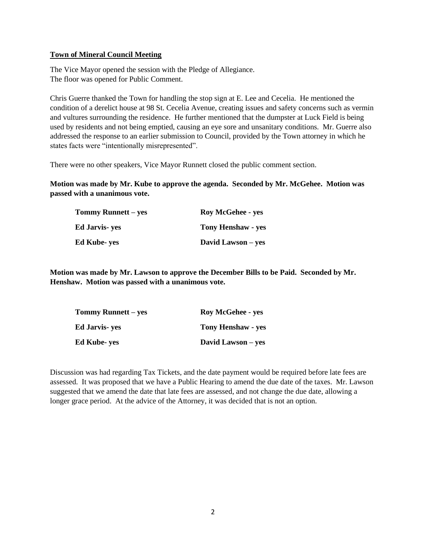## **Town of Mineral Council Meeting**

The Vice Mayor opened the session with the Pledge of Allegiance. The floor was opened for Public Comment.

Chris Guerre thanked the Town for handling the stop sign at E. Lee and Cecelia. He mentioned the condition of a derelict house at 98 St. Cecelia Avenue, creating issues and safety concerns such as vermin and vultures surrounding the residence. He further mentioned that the dumpster at Luck Field is being used by residents and not being emptied, causing an eye sore and unsanitary conditions. Mr. Guerre also addressed the response to an earlier submission to Council, provided by the Town attorney in which he states facts were "intentionally misrepresented".

There were no other speakers, Vice Mayor Runnett closed the public comment section.

**Motion was made by Mr. Kube to approve the agenda. Seconded by Mr. McGehee. Motion was passed with a unanimous vote.**

| Tommy Runnett – yes | <b>Roy McGehee - yes</b>  |
|---------------------|---------------------------|
| Ed Jarvis- yes      | <b>Tony Henshaw - yes</b> |
| Ed Kube- yes        | David Lawson – yes        |

**Motion was made by Mr. Lawson to approve the December Bills to be Paid. Seconded by Mr. Henshaw. Motion was passed with a unanimous vote.**

| <b>Tommy Runnett – yes</b> | <b>Roy McGehee - yes</b>  |  |
|----------------------------|---------------------------|--|
| Ed Jarvis- yes             | <b>Tony Henshaw - yes</b> |  |
| Ed Kube- yes               | David Lawson – yes        |  |

Discussion was had regarding Tax Tickets, and the date payment would be required before late fees are assessed. It was proposed that we have a Public Hearing to amend the due date of the taxes. Mr. Lawson suggested that we amend the date that late fees are assessed, and not change the due date, allowing a longer grace period. At the advice of the Attorney, it was decided that is not an option.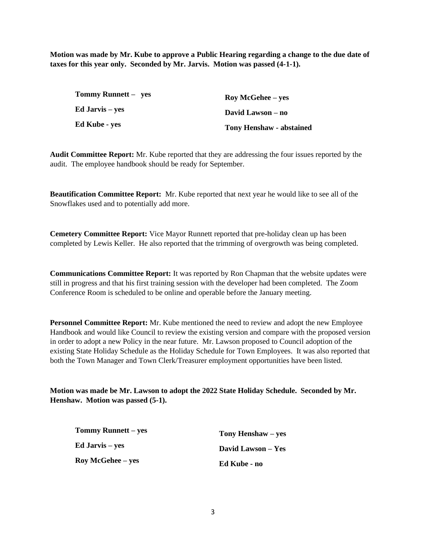**Motion was made by Mr. Kube to approve a Public Hearing regarding a change to the due date of taxes for this year only. Seconded by Mr. Jarvis. Motion was passed (4-1-1).**

| Tommy Runnett – yes | <b>Roy McGehee</b> – yes        |
|---------------------|---------------------------------|
| Ed Jarvis – yes     | David Lawson – no               |
| Ed Kube - yes       | <b>Tony Henshaw - abstained</b> |

**Audit Committee Report:** Mr. Kube reported that they are addressing the four issues reported by the audit. The employee handbook should be ready for September.

**Beautification Committee Report:** Mr. Kube reported that next year he would like to see all of the Snowflakes used and to potentially add more.

**Cemetery Committee Report:** Vice Mayor Runnett reported that pre-holiday clean up has been completed by Lewis Keller. He also reported that the trimming of overgrowth was being completed.

**Communications Committee Report:** It was reported by Ron Chapman that the website updates were still in progress and that his first training session with the developer had been completed. The Zoom Conference Room is scheduled to be online and operable before the January meeting.

**Personnel Committee Report:** Mr. Kube mentioned the need to review and adopt the new Employee Handbook and would like Council to review the existing version and compare with the proposed version in order to adopt a new Policy in the near future. Mr. Lawson proposed to Council adoption of the existing State Holiday Schedule as the Holiday Schedule for Town Employees. It was also reported that both the Town Manager and Town Clerk/Treasurer employment opportunities have been listed.

**Motion was made be Mr. Lawson to adopt the 2022 State Holiday Schedule. Seconded by Mr. Henshaw. Motion was passed (5-1).**

| <b>Tommy Runnett</b> – yes | Tony Henshaw – yes |
|----------------------------|--------------------|
| <b>Ed Jarvis</b> – yes     | David Lawson – Yes |
| <b>Roy McGehee</b> – yes   | Ed Kube - no       |